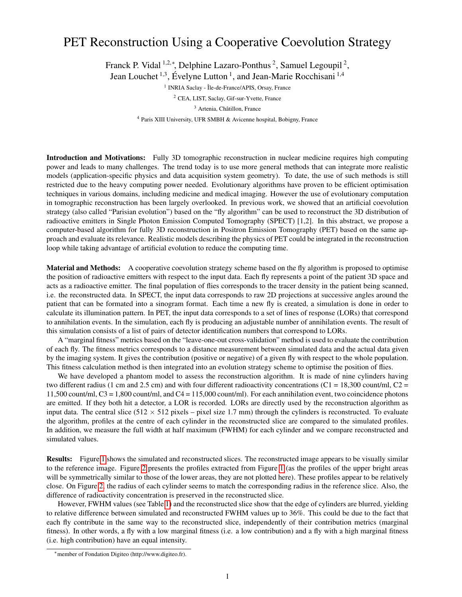## PET Reconstruction Using a Cooperative Coevolution Strategy

Franck P. Vidal <sup>1,2,\*</sup>, Delphine Lazaro-Ponthus<sup>2</sup>, Samuel Legoupil<sup>2</sup>,

Jean Louchet<sup>1,3</sup>, Évelyne Lutton<sup>1</sup>, and Jean-Marie Rocchisani<sup>1,4</sup>

<sup>1</sup> INRIA Saclay - Île-de-France/APIS, Orsay, France

<sup>2</sup> CEA, LIST, Saclay, Gif-sur-Yvette, France

<sup>3</sup> Artenia, Châtillon, France

<sup>4</sup> Paris XIII University, UFR SMBH & Avicenne hospital, Bobigny, France

Introduction and Motivations: Fully 3D tomographic reconstruction in nuclear medicine requires high computing power and leads to many challenges. The trend today is to use more general methods that can integrate more realistic models (application-specific physics and data acquisition system geometry). To date, the use of such methods is still restricted due to the heavy computing power needed. Evolutionary algorithms have proven to be efficient optimisation techniques in various domains, including medicine and medical imaging. However the use of evolutionary computation in tomographic reconstruction has been largely overlooked. In previous work, we showed that an artificial coevolution strategy (also called "Parisian evolution") based on the "fly algorithm" can be used to reconstruct the 3D distribution of radioactive emitters in Single Photon Emission Computed Tomography (SPECT) [1,2]. In this abstract, we propose a computer-based algorithm for fully 3D reconstruction in Positron Emission Tomography (PET) based on the same approach and evaluate its relevance. Realistic models describing the physics of PET could be integrated in the reconstruction loop while taking advantage of artificial evolution to reduce the computing time.

Material and Methods: A cooperative coevolution strategy scheme based on the fly algorithm is proposed to optimise the position of radioactive emitters with respect to the input data. Each fly represents a point of the patient 3D space and acts as a radioactive emitter. The final population of flies corresponds to the tracer density in the patient being scanned, i.e. the reconstructed data. In SPECT, the input data corresponds to raw 2D projections at successive angles around the patient that can be formated into a sinogram format. Each time a new fly is created, a simulation is done in order to calculate its illumination pattern. In PET, the input data corresponds to a set of lines of response (LORs) that correspond to annihilation events. In the simulation, each fly is producing an adjustable number of annihilation events. The result of this simulation consists of a list of pairs of detector identification numbers that correspond to LORs.

A "marginal fitness" metrics based on the "leave-one-out cross-validation" method is used to evaluate the contribution of each fly. The fitness metrics corresponds to a distance measurement between simulated data and the actual data given by the imaging system. It gives the contribution (positive or negative) of a given fly with respect to the whole population. This fitness calculation method is then integrated into an evolution strategy scheme to optimise the position of flies.

We have developed a phantom model to assess the reconstruction algorithm. It is made of nine cylinders having two different radius (1 cm and 2.5 cm) and with four different radioactivity concentrations (C1 = 18,300 count/ml, C2 = 11,500 count/ml,  $C3 = 1,800$  count/ml, and  $C4 = 115,000$  count/ml). For each annihilation event, two coincidence photons are emitted. If they both hit a detector, a LOR is recorded. LORs are directly used by the reconstruction algorithm as input data. The central slice  $(512 \times 512$  pixels – pixel size 1.7 mm) through the cylinders is reconstructed. To evaluate the algorithm, profiles at the centre of each cylinder in the reconstructed slice are compared to the simulated profiles. In addition, we measure the full width at half maximum (FWHM) for each cylinder and we compare reconstructed and simulated values.

Results: Figure [1](#page-1-0) shows the simulated and reconstructed slices. The reconstructed image appears to be visually similar to the reference image. Figure [2](#page-1-1) presents the profiles extracted from Figure [1](#page-1-0) (as the profiles of the upper bright areas will be symmetrically similar to those of the lower areas, they are not plotted here). These profiles appear to be relatively close. On Figure [2,](#page-1-1) the radius of each cylinder seems to match the corresponding radius in the reference slice. Also, the difference of radioactivity concentration is preserved in the reconstructed slice.

However, FWHM values (see Table [1\)](#page-1-2) and the reconstructed slice show that the edge of cylinders are blurred, yielding to relative difference between simulated and reconstructed FWHM values up to 36%. This could be due to the fact that each fly contribute in the same way to the reconstructed slice, independently of their contribution metrics (marginal fitness). In other words, a fly with a low marginal fitness (i.e. a low contribution) and a fly with a high marginal fitness (i.e. high contribution) have an equal intensity.

<sup>∗</sup>member of Fondation Digiteo (http://www.digiteo.fr).